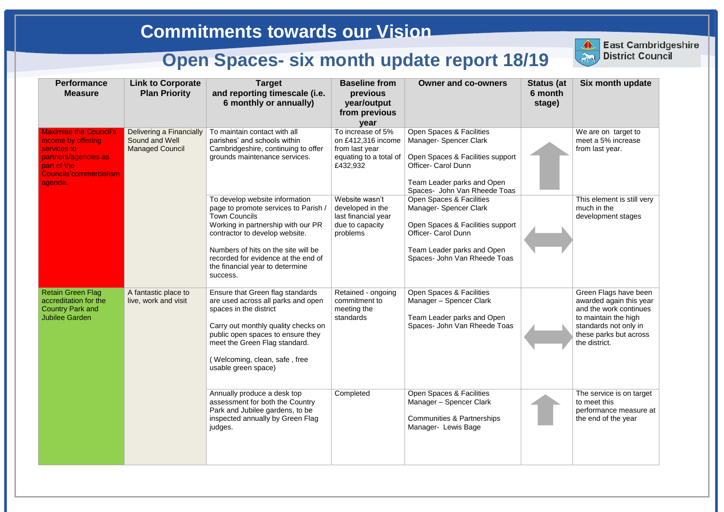| <b>Performance</b><br><b>Measure</b>                                                                                                                  | <b>Link to Corporate</b><br><b>Plan Priority</b>                     | <b>Target</b><br>and reporting timescale (i.e.<br>6 monthly or annually)                                                                                                                                                                                                                            | <b>Baseline from</b><br>previous<br>year/output<br>from previous<br>year                        | <b>Owner and co-owners</b>                                                                                                                                                         | <b>Status (at</b><br>6 month<br>stage) | <b>Six month update</b>                                                                                                                                                |
|-------------------------------------------------------------------------------------------------------------------------------------------------------|----------------------------------------------------------------------|-----------------------------------------------------------------------------------------------------------------------------------------------------------------------------------------------------------------------------------------------------------------------------------------------------|-------------------------------------------------------------------------------------------------|------------------------------------------------------------------------------------------------------------------------------------------------------------------------------------|----------------------------------------|------------------------------------------------------------------------------------------------------------------------------------------------------------------------|
| <b>Maximise the Council's</b><br>income by offering<br>services to<br>partners/agencies as<br>part of the<br><b>Councils'commercialism</b><br>agenda. | Delivering a Financially<br>Sound and Well<br><b>Managed Council</b> | To maintain contact with all<br>parishes' and schools within<br>Cambridgeshire, continuing to offer<br>grounds maintenance services.                                                                                                                                                                | To increase of 5%<br>on £412,316 income<br>from last year<br>equating to a total of<br>£432,932 | Open Spaces & Facilities<br>Manager- Spencer Clark<br>Open Spaces & Facilities support<br><b>Officer- Carol Dunn</b><br>Team Leader parks and Open<br>Spaces- John Van Rheede Toas |                                        | We are on target to<br>meet a 5% increase<br>from last year.                                                                                                           |
|                                                                                                                                                       |                                                                      | To develop website information<br>page to promote services to Parish /<br><b>Town Councils</b><br>Working in partnership with our PR<br>contractor to develop website.<br>Numbers of hits on the site will be<br>recorded for evidence at the end of<br>the financial year to determine<br>success. | Website wasn't<br>developed in the<br>last financial year<br>due to capacity<br>problems        | Open Spaces & Facilities<br>Manager-Spencer Clark<br>Open Spaces & Facilities support<br><b>Officer- Carol Dunn</b><br>Team Leader parks and Open<br>Spaces- John Van Rheede Toas  |                                        | This element is still very<br>much in the<br>development stages                                                                                                        |
| <b>Retain Green Flag</b><br>accreditation for the<br><b>Country Park and</b><br><b>Jubilee Garden</b>                                                 | A fantastic place to<br>live, work and visit                         | Ensure that Green flag standards<br>are used across all parks and open<br>spaces in the district<br>Carry out monthly quality checks on<br>public open spaces to ensure they<br>meet the Green Flag standard.<br>(Welcoming, clean, safe, free<br>usable green space)                               | Retained - ongoing<br>commitment to<br>meeting the<br>standards                                 | Open Spaces & Facilities<br>Manager - Spencer Clark<br>Team Leader parks and Open<br>Spaces- John Van Rheede Toas                                                                  |                                        | Green Flags have been<br>awarded again this year<br>and the work continues<br>to maintain the high<br>standards not only in<br>these parks but across<br>the district. |
|                                                                                                                                                       |                                                                      | Annually produce a desk top<br>assessment for both the Country<br>Park and Jubilee gardens, to be<br>inspected annually by Green Flag<br>judges.                                                                                                                                                    | Completed                                                                                       | Open Spaces & Facilities<br>Manager - Spencer Clark<br><b>Communities &amp; Partnerships</b><br>Manager- Lewis Bage                                                                |                                        | The service is on target<br>to meet this<br>performance measure at<br>the end of the year                                                                              |



**East Cambridgeshire District Council**

## East Cambridge<br>District Council **East Cambridgeshire**

## **Commitments towards our Vision**

# **Open Spaces- six month update report 18/19**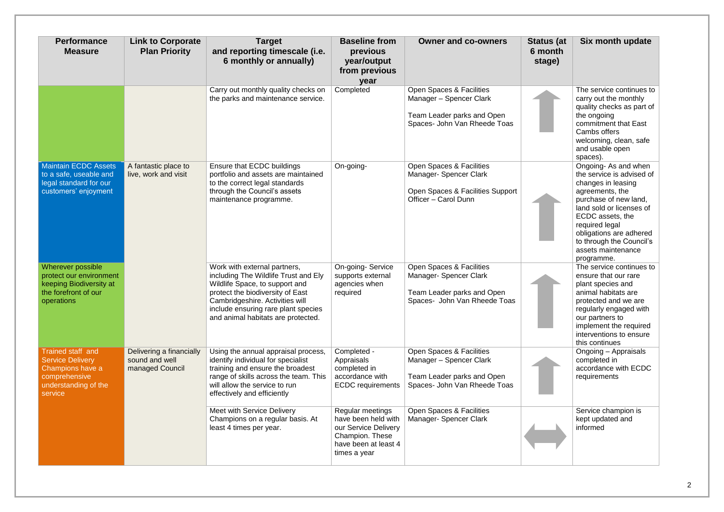| <b>Performance</b><br><b>Measure</b>                                                                                 | <b>Link to Corporate</b><br><b>Plan Priority</b>              | <b>Target</b><br>and reporting timescale (i.e.<br>6 monthly or annually)                                                                                                                                                                                   | <b>Baseline from</b><br>previous<br>year/output<br>from previous<br>year                                                   | <b>Owner and co-owners</b>                                                                                        | <b>Status (at</b><br>6 month<br>stage) | Six month update                                                                                                                                                                                                                                                                |
|----------------------------------------------------------------------------------------------------------------------|---------------------------------------------------------------|------------------------------------------------------------------------------------------------------------------------------------------------------------------------------------------------------------------------------------------------------------|----------------------------------------------------------------------------------------------------------------------------|-------------------------------------------------------------------------------------------------------------------|----------------------------------------|---------------------------------------------------------------------------------------------------------------------------------------------------------------------------------------------------------------------------------------------------------------------------------|
|                                                                                                                      |                                                               | Carry out monthly quality checks on<br>the parks and maintenance service.                                                                                                                                                                                  | Completed                                                                                                                  | Open Spaces & Facilities<br>Manager - Spencer Clark<br>Team Leader parks and Open<br>Spaces- John Van Rheede Toas |                                        | The service continues to<br>carry out the monthly<br>quality checks as part of<br>the ongoing<br>commitment that East<br>Cambs offers<br>welcoming, clean, safe<br>and usable open<br>spaces).                                                                                  |
| <b>Maintain ECDC Assets</b><br>to a safe, useable and<br>legal standard for our<br>customers' enjoyment              | A fantastic place to<br>live, work and visit                  | Ensure that ECDC buildings<br>portfolio and assets are maintained<br>to the correct legal standards<br>through the Council's assets<br>maintenance programme.                                                                                              | On-going-                                                                                                                  | Open Spaces & Facilities<br>Manager-Spencer Clark<br>Open Spaces & Facilities Support<br>Officer - Carol Dunn     |                                        | Ongoing-As and when<br>the service is advised of<br>changes in leasing<br>agreements, the<br>purchase of new land,<br>land sold or licenses of<br>ECDC assets, the<br>required legal<br>obligations are adhered<br>to through the Council's<br>assets maintenance<br>programme. |
| Wherever possible<br>protect our environment<br>keeping Biodiversity at<br>the forefront of our<br>operations        |                                                               | Work with external partners,<br>including The Wildlife Trust and Ely<br>Wildlife Space, to support and<br>protect the biodiversity of East<br>Cambridgeshire. Activities will<br>include ensuring rare plant species<br>and animal habitats are protected. | On-going-Service<br>supports external<br>agencies when<br>required                                                         | Open Spaces & Facilities<br>Manager-Spencer Clark<br>Team Leader parks and Open<br>Spaces- John Van Rheede Toas   |                                        | The service continues to<br>ensure that our rare<br>plant species and<br>animal habitats are<br>protected and we are<br>regularly engaged with<br>our partners to<br>implement the required<br>interventions to ensure<br>this continues                                        |
| Trained staff and<br><b>Service Delivery</b><br>Champions have a<br>comprehensive<br>understanding of the<br>service | Delivering a financially<br>sound and well<br>managed Council | Using the annual appraisal process,<br>identify individual for specialist<br>training and ensure the broadest<br>range of skills across the team. This<br>will allow the service to run<br>effectively and efficiently                                     | Completed -<br>Appraisals<br>completed in<br>accordance with<br><b>ECDC</b> requirements                                   | Open Spaces & Facilities<br>Manager - Spencer Clark<br>Team Leader parks and Open<br>Spaces- John Van Rheede Toas |                                        | Ongoing – Appraisals<br>completed in<br>accordance with ECDC<br>requirements                                                                                                                                                                                                    |
|                                                                                                                      |                                                               | <b>Meet with Service Delivery</b><br>Champions on a regular basis. At<br>least 4 times per year.                                                                                                                                                           | Regular meetings<br>have been held with<br>our Service Delivery<br>Champion. These<br>have been at least 4<br>times a year | Open Spaces & Facilities<br>Manager- Spencer Clark                                                                |                                        | Service champion is<br>kept updated and<br>informed                                                                                                                                                                                                                             |